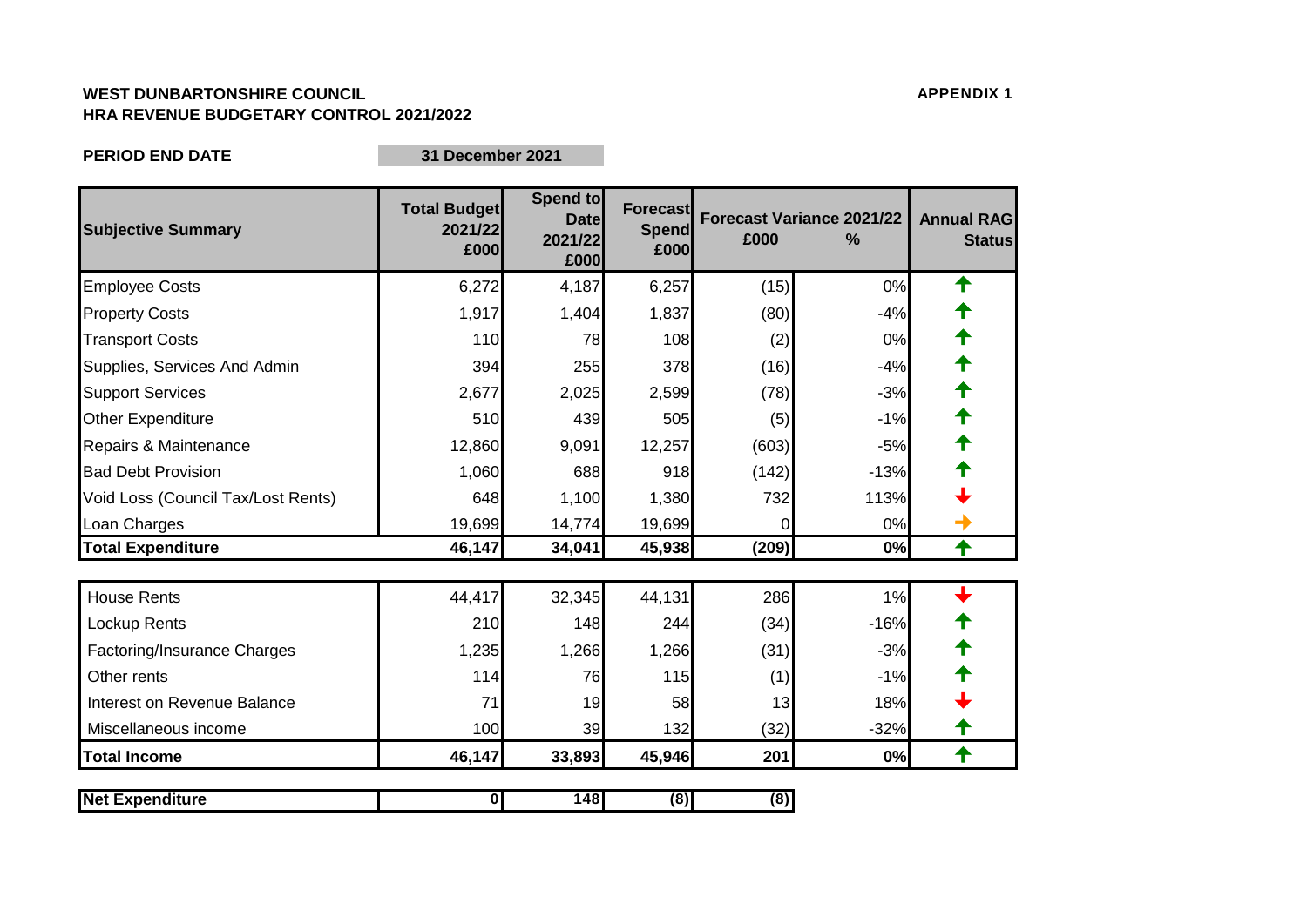## **WEST DUNBARTONSHIRE COUNCIL APPENDIX 1 HRA REVENUE BUDGETARY CONTROL 2021/2022**

**PERIOD END DATE**

**31 December 2021**

| <b>Subjective Summary</b>          | <b>Total Budget</b><br>2021/22<br>£000 | Spend to<br><b>Date</b><br>2021/22<br>£000 | <b>Forecast</b><br><b>Spend</b><br>£000 | £000     | <b>Forecast Variance 2021/22</b><br>% | <b>Annual RAG</b><br><b>Status</b> |
|------------------------------------|----------------------------------------|--------------------------------------------|-----------------------------------------|----------|---------------------------------------|------------------------------------|
| <b>Employee Costs</b>              | 6,272                                  | 4,187                                      | 6,257                                   | (15)     | 0%                                    | ✦                                  |
| <b>Property Costs</b>              | 1,917                                  | 1,404                                      | 1,837                                   | (80)     | $-4%$                                 |                                    |
| <b>Transport Costs</b>             | 110                                    | 78                                         | 108                                     | (2)      | 0%                                    | ↟                                  |
| Supplies, Services And Admin       | 394                                    | 255                                        | 378                                     | (16)     | $-4%$                                 |                                    |
| <b>Support Services</b>            | 2,677                                  | 2,025                                      | 2,599                                   | (78)     | $-3%$                                 | ↟                                  |
| <b>Other Expenditure</b>           | 510                                    | 439                                        | 505                                     | (5)      | $-1%$                                 |                                    |
| Repairs & Maintenance              | 12,860                                 | 9,091                                      | 12,257                                  | (603)    | $-5%$                                 |                                    |
| <b>Bad Debt Provision</b>          | 1,060                                  | 688                                        | 918                                     | (142)    | $-13%$                                |                                    |
| Void Loss (Council Tax/Lost Rents) | 648                                    | 1,100                                      | 1,380                                   | 732      | 113%                                  |                                    |
| Loan Charges                       | 19,699                                 | 14,774                                     | 19,699                                  | $\Omega$ | 0%                                    |                                    |
| <b>Total Expenditure</b>           | 46,147                                 | 34,041                                     | 45,938                                  | (209)    | 0%                                    | ✦                                  |
| <b>House Rents</b>                 | 44,417                                 | 32,345                                     | 44,131                                  | 286      | 1%                                    |                                    |
| Lockup Rents                       | 210                                    | 148                                        | 244                                     | (34)     | $-16%$                                |                                    |
| Factoring/Insurance Charges        | 1,235                                  | 1,266                                      | 1,266                                   | (31)     | $-3%$                                 |                                    |
| Other rents                        | 114                                    | 76                                         | 115                                     | (1)      | $-1%$                                 |                                    |
| Interest on Revenue Balance        | 71                                     | 19                                         | 58                                      | 13       | 18%                                   |                                    |
| Miscellaneous income               | 100                                    | 39                                         | 132                                     | (32)     | $-32%$                                | Т                                  |
| <b>Total Income</b>                | 46,147                                 | 33,893                                     | 45,946                                  | 201      | 0%                                    | $\biguparrow$                      |
| <b>Net Expenditure</b>             | $\mathbf 0$                            | 148                                        | (8)                                     | (8)      |                                       |                                    |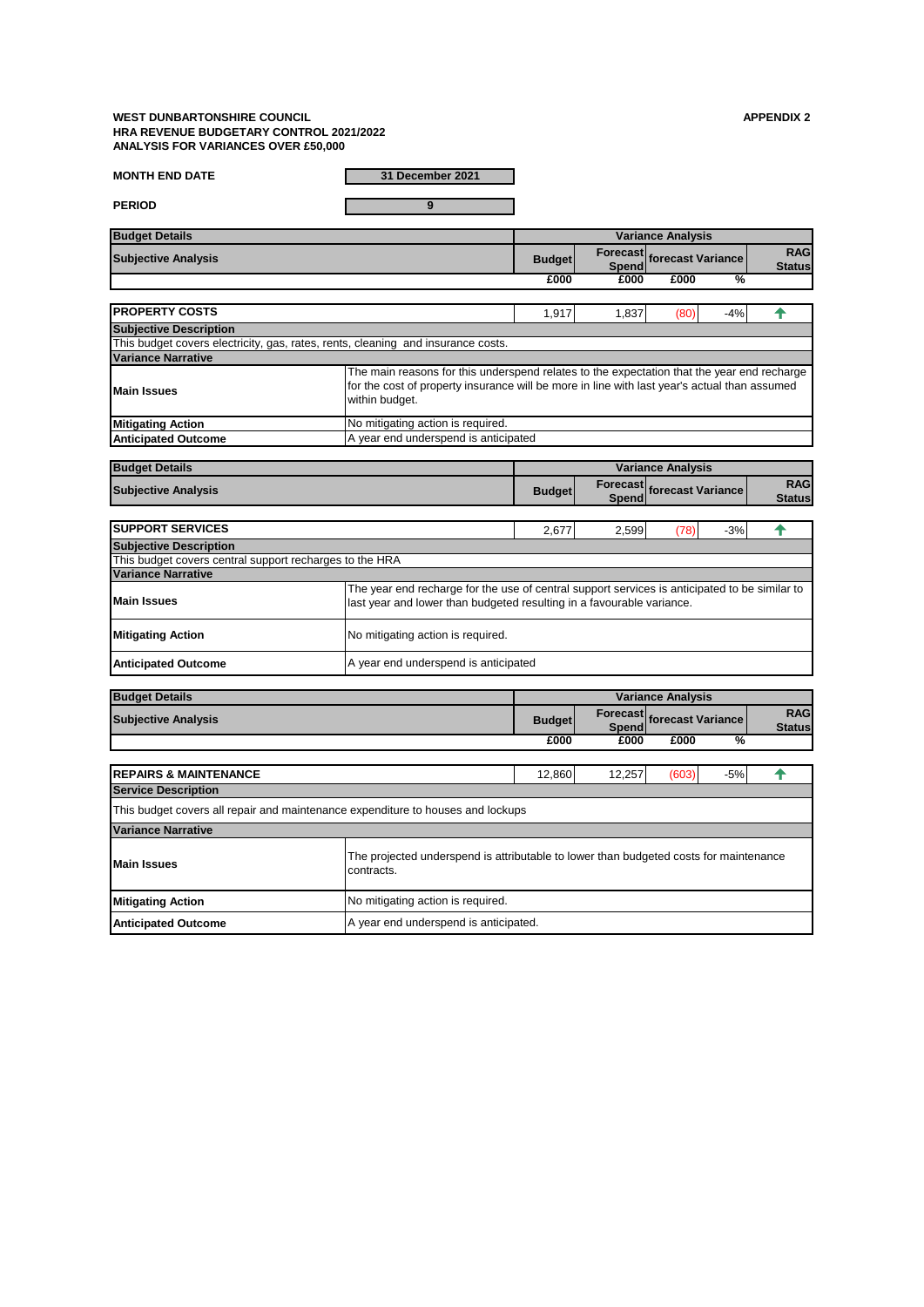## **WEST DUNBARTONSHIRE COUNCIL APPENDIX 2 HRA REVENUE BUDGETARY CONTROL 2021/2022 ANALYSIS FOR VARIANCES OVER £50,000**

**PERIOD 9**

| <b>MONTH END DATE</b> |  |  |
|-----------------------|--|--|

**MONTH END DATE 31 December 2021**

| <b>Budget Details</b>      |               |       |                                   |   |               |
|----------------------------|---------------|-------|-----------------------------------|---|---------------|
| <b>Subjective Analysis</b> | <b>Budget</b> |       | <b>Forecast</b> forecast Variance |   | <b>RAG</b>    |
|                            |               | Spend |                                   |   | <b>Status</b> |
|                            | £000          | £000  | £000                              | ℅ |               |

| <b>IPROPERTY COSTS</b>                                                           |                                                                                                                                                                                                              | 1.917 | 1,837 | (80) | $-4%$ |  |
|----------------------------------------------------------------------------------|--------------------------------------------------------------------------------------------------------------------------------------------------------------------------------------------------------------|-------|-------|------|-------|--|
| <b>Subjective Description</b>                                                    |                                                                                                                                                                                                              |       |       |      |       |  |
| This budget covers electricity, gas, rates, rents, cleaning and insurance costs. |                                                                                                                                                                                                              |       |       |      |       |  |
| <b>Variance Narrative</b>                                                        |                                                                                                                                                                                                              |       |       |      |       |  |
| <b>Main Issues</b>                                                               | The main reasons for this underspend relates to the expectation that the year end recharge<br>for the cost of property insurance will be more in line with last year's actual than assumed<br>within budget. |       |       |      |       |  |
| <b>Mitigating Action</b>                                                         | No mitigating action is required.                                                                                                                                                                            |       |       |      |       |  |
| <b>Anticipated Outcome</b>                                                       | A year end underspend is anticipated                                                                                                                                                                         |       |       |      |       |  |

| <b>Budget Details</b>                                   |                                                                                                                                                                        | <b>Variance Analysis</b> |       |                            |       |                             |  |
|---------------------------------------------------------|------------------------------------------------------------------------------------------------------------------------------------------------------------------------|--------------------------|-------|----------------------------|-------|-----------------------------|--|
| <b>Subjective Analysis</b>                              |                                                                                                                                                                        | <b>Budget</b>            | Spend | Forecast forecast Variance |       | <b>RAG</b><br><b>Status</b> |  |
|                                                         |                                                                                                                                                                        |                          |       |                            |       |                             |  |
| <b>SUPPORT SERVICES</b>                                 |                                                                                                                                                                        | 2,677                    | 2,599 | (78)                       | $-3%$ |                             |  |
| <b>Subjective Description</b>                           |                                                                                                                                                                        |                          |       |                            |       |                             |  |
| This budget covers central support recharges to the HRA |                                                                                                                                                                        |                          |       |                            |       |                             |  |
| <b>Variance Narrative</b>                               |                                                                                                                                                                        |                          |       |                            |       |                             |  |
| <b>Main Issues</b>                                      | The year end recharge for the use of central support services is anticipated to be similar to<br>last year and lower than budgeted resulting in a favourable variance. |                          |       |                            |       |                             |  |
| <b>Mitigating Action</b>                                | No mitigating action is required.                                                                                                                                      |                          |       |                            |       |                             |  |
| <b>Anticipated Outcome</b>                              | A year end underspend is anticipated                                                                                                                                   |                          |       |                            |       |                             |  |

| <b>Budget Details</b>                                                           |                                   | <b>Variance Analysis</b>                                                              |              |                            |       |                             |  |
|---------------------------------------------------------------------------------|-----------------------------------|---------------------------------------------------------------------------------------|--------------|----------------------------|-------|-----------------------------|--|
| <b>Subjective Analysis</b>                                                      |                                   | <b>Budget</b>                                                                         | <b>Spend</b> | Forecast forecast Variance |       | <b>RAG</b><br><b>Status</b> |  |
|                                                                                 |                                   | £000                                                                                  | £000         | £000                       | %     |                             |  |
|                                                                                 |                                   |                                                                                       |              |                            |       |                             |  |
| <b>REPAIRS &amp; MAINTENANCE</b>                                                |                                   | 12,860                                                                                | 12,257       | (603)                      | $-5%$ |                             |  |
| <b>Service Description</b>                                                      |                                   |                                                                                       |              |                            |       |                             |  |
| This budget covers all repair and maintenance expenditure to houses and lockups |                                   |                                                                                       |              |                            |       |                             |  |
| <b>Variance Narrative</b>                                                       |                                   |                                                                                       |              |                            |       |                             |  |
| <b>Main Issues</b>                                                              | contracts.                        | The projected underspend is attributable to lower than budgeted costs for maintenance |              |                            |       |                             |  |
| <b>Mitigating Action</b>                                                        | No mitigating action is required. |                                                                                       |              |                            |       |                             |  |
| <b>Anticipated Outcome</b>                                                      |                                   | A year end underspend is anticipated.                                                 |              |                            |       |                             |  |